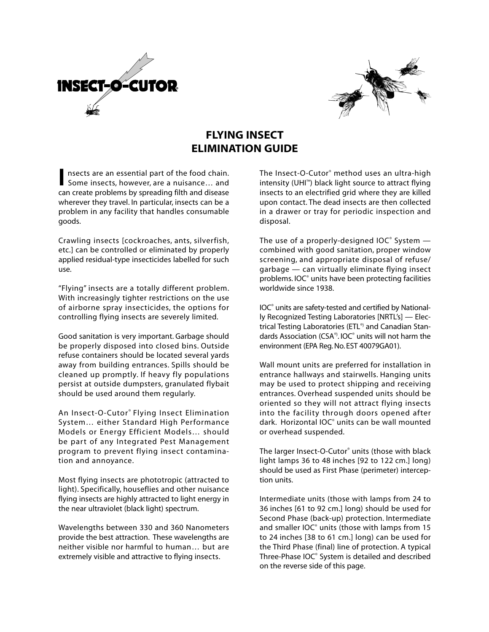



## **FLYING INSECT ELIMINATION GUIDE**

Insects are an essential part of the food chain.<br>Some insects, however, are a nuisance... and<br>san create problems by spreading filth and disease nsects are an essential part of the food chain. can create problems by spreading filth and disease wherever they travel. In particular, insects can be a problem in any facility that handles consumable goods.

Crawling insects [cockroaches, ants, silverfish, etc.] can be controlled or eliminated by properly applied residual-type insecticides labelled for such use.

"Flying" insects are a totally different problem. With increasingly tighter restrictions on the use of airborne spray insecticides, the options for controlling flying insects are severely limited.

Good sanitation is very important. Garbage should be properly disposed into closed bins. Outside refuse containers should be located several yards away from building entrances. Spills should be cleaned up promptly. If heavy fly populations persist at outside dumpsters, granulated flybait should be used around them regularly.

An Insect-O-Cutor® Flying Insect Elimination System… either Standard High Performance Models or Energy Efficient Models… should be part of any Integrated Pest Management program to prevent flying insect contamination and annoyance.

Most flying insects are phototropic (attracted to light). Specifically, houseflies and other nuisance flying insects are highly attracted to light energy in the near ultraviolet (black light) spectrum.

Wavelengths between 330 and 360 Nanometers provide the best attraction. These wavelengths are neither visible nor harmful to human… but are extremely visible and attractive to flying insects.

The Insect-O-Cutor® method uses an ultra-high intensity (UHI™) black light source to attract flying insects to an electrified grid where they are killed upon contact. The dead insects are then collected in a drawer or tray for periodic inspection and disposal.

The use of a properly-designed IOC® System combined with good sanitation, proper window screening, and appropriate disposal of refuse/ garbage — can virtually eliminate flying insect problems. IOC® units have been protecting facilities worldwide since 1938.

IOC® units are safety-tested and certified by Nationally Recognized Testing Laboratories [NRTL's] — Electrical Testing Laboratories (ETL®) and Canadian Standards Association (CSA®). IOC® units will not harm the environment (EPA Reg. No. EST 40079GA01).

Wall mount units are preferred for installation in entrance hallways and stairwells. Hanging units may be used to protect shipping and receiving entrances. Overhead suspended units should be oriented so they will not attract flying insects into the facility through doors opened after dark. Horizontal IOC® units can be wall mounted or overhead suspended.

The larger Insect-O-Cutor® units (those with black light lamps 36 to 48 inches [92 to 122 cm.] long) should be used as First Phase (perimeter) interception units.

Intermediate units (those with lamps from 24 to 36 inches [61 to 92 cm.] long) should be used for Second Phase (back-up) protection. Intermediate and smaller IOC® units (those with lamps from 15 to 24 inches [38 to 61 cm.] long) can be used for the Third Phase (final) line of protection. A typical Three-Phase IOC® System is detailed and described on the reverse side of this page.